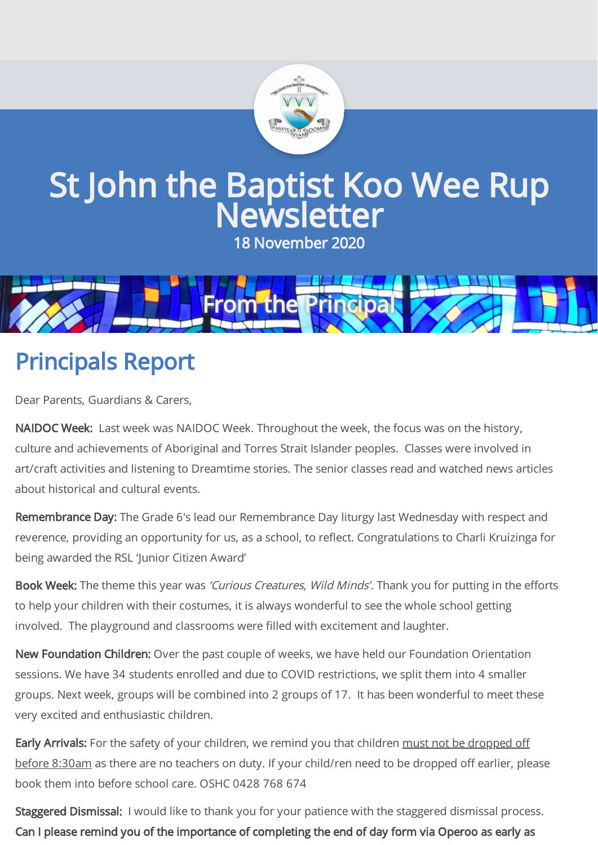

# St John the Baptist Koo Wee Rup Newsletter

18 November 2020



# Principals Report

Dear Parents, Guardians & Carers,

NAIDOC Week: Last week was NAIDOC Week. Throughout the week, the focus was on the history, culture and achievements of Aboriginal and Torres Strait Islander peoples. Classes were involved in art/craft activities and listening to Dreamtime stories. The senior classes read and watched news articles about historical and cultural events.

Remembrance Day: The Grade 6's lead our Remembrance Day liturgy last Wednesday with respect and reverence, providing an opportunity for us, as a school, to reflect. Congratulations to Charli Kruizinga for being awarded the RSL 'Junior Citizen Award'

Book Week: The theme this year was 'Curious Creatures, Wild Minds'. Thank you for putting in the efforts to help your children with their costumes, it is always wonderful to see the whole school getting involved. The playground and classrooms were filled with excitement and laughter.

New Foundation Children: Over the past couple of weeks, we have held our Foundation Orientation sessions. We have 34 students enrolled and due to COVID restrictions, we split them into 4 smaller groups. Next week, groups will be combined into 2 groups of 17. It has been wonderful to meet these very excited and enthusiastic children.

Early Arrivals: For the safety of your children, we remind you that children must not be dropped off before 8:30am as there are no teachers on duty. If your child/ren need to be dropped off earlier, please book them into before school care. OSHC 0428 768 674

Staggered Dismissal: I would like to thank you for your patience with the staggered dismissal process. Can I please remind you of the importance of completing the end of day form via Operoo as early as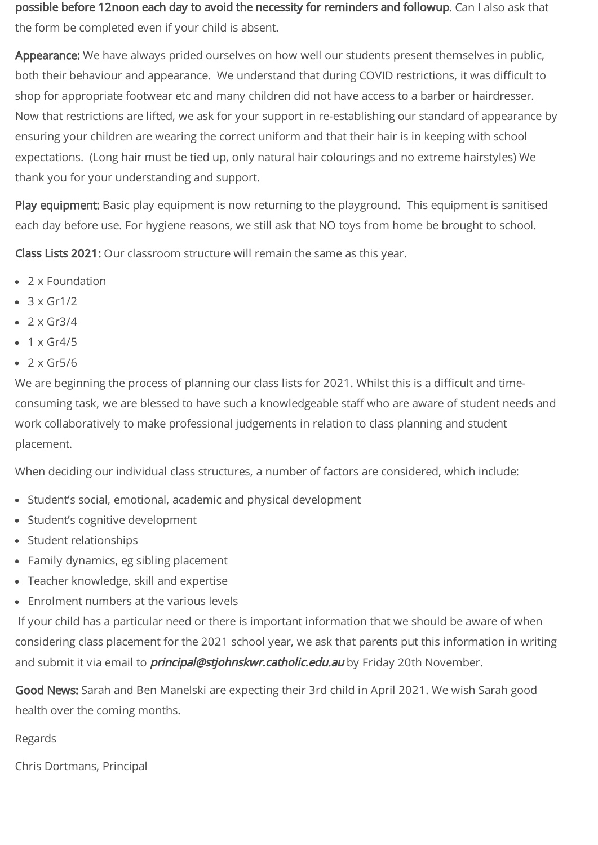possible before 12noon each day to avoid the necessity for reminders and followup. Can I also ask that the form be completed even if your child is absent.

Appearance: We have always prided ourselves on how well our students present themselves in public, both their behaviour and appearance. We understand that during COVID restrictions, it was difficult to shop for appropriate footwear etc and many children did not have access to a barber or hairdresser. Now that restrictions are lifted, we ask for your support in re-establishing our standard of appearance by ensuring your children are wearing the correct uniform and that their hair is in keeping with school expectations. (Long hair must be tied up, only natural hair colourings and no extreme hairstyles) We thank you for your understanding and support.

Play equipment: Basic play equipment is now returning to the playground. This equipment is sanitised each day before use. For hygiene reasons, we still ask that NO toys from home be brought to school.

Class Lists 2021: Our classroom structure will remain the same as this year.

- 2 x Foundation
- $\bullet$  3 x Gr1/2
- $\bullet$  2 x Gr3/4
- $\cdot$  1 x Gr4/5
- $2 \times$  Gr5/6

We are beginning the process of planning our class lists for 2021. Whilst this is a difficult and timeconsuming task, we are blessed to have such a knowledgeable staff who are aware of student needs and work collaboratively to make professional judgements in relation to class planning and student placement.

When deciding our individual class structures, a number of factors are considered, which include:

- Student's social, emotional, academic and physical development
- Student's cognitive development
- Student relationships
- Family dynamics, eg sibling placement
- Teacher knowledge, skill and expertise
- Enrolment numbers at the various levels

If your child has a particular need or there is important information that we should be aware of when considering class placement for the 2021 school year, we ask that parents put this information in writing and submit it via email to *principal@stjohnskwr.catholic.edu.au* by Friday 20th November.

Good News: Sarah and Ben Manelski are expecting their 3rd child in April 2021. We wish Sarah good health over the coming months.

Regards

Chris Dortmans, Principal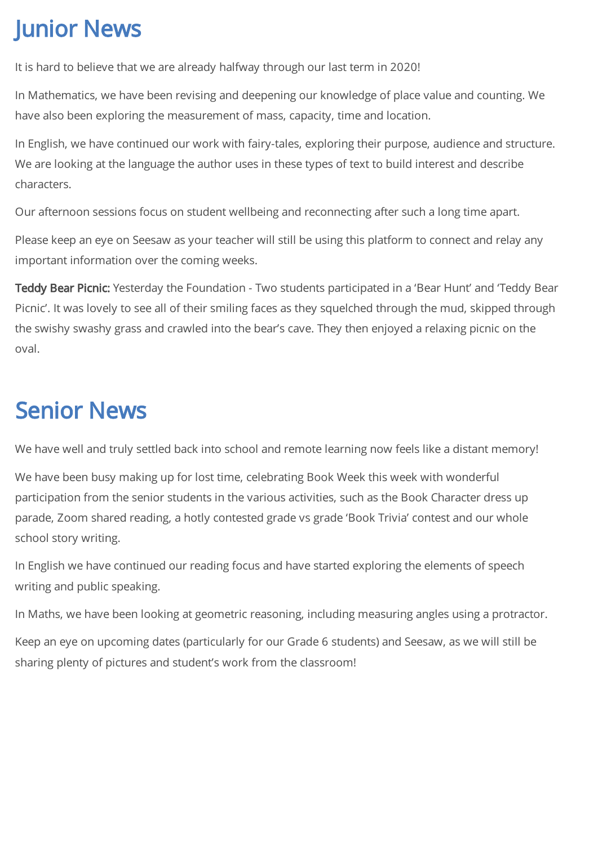## Junior News

It is hard to believe that we are already halfway through our last term in 2020!

In Mathematics, we have been revising and deepening our knowledge of place value and counting. We have also been exploring the measurement of mass, capacity, time and location.

In English, we have continued our work with fairy-tales, exploring their purpose, audience and structure. We are looking at the language the author uses in these types of text to build interest and describe characters.

Our afternoon sessions focus on student wellbeing and reconnecting after such a long time apart.

Please keep an eye on Seesaw as your teacher will still be using this platform to connect and relay any important information over the coming weeks.

Teddy Bear Picnic: Yesterday the Foundation - Two students participated in a 'Bear Hunt' and 'Teddy Bear Picnic'. It was lovely to see all of their smiling faces as they squelched through the mud, skipped through the swishy swashy grass and crawled into the bear's cave. They then enjoyed a relaxing picnic on the oval.

### Senior News

We have well and truly settled back into school and remote learning now feels like a distant memory!

We have been busy making up for lost time, celebrating Book Week this week with wonderful participation from the senior students in the various activities, such as the Book Character dress up parade, Zoom shared reading, a hotly contested grade vs grade 'Book Trivia' contest and our whole school story writing.

In English we have continued our reading focus and have started exploring the elements of speech writing and public speaking.

In Maths, we have been looking at geometric reasoning, including measuring angles using a protractor.

Keep an eye on upcoming dates (particularly for our Grade 6 students) and Seesaw, as we will still be sharing plenty of pictures and student's work from the classroom!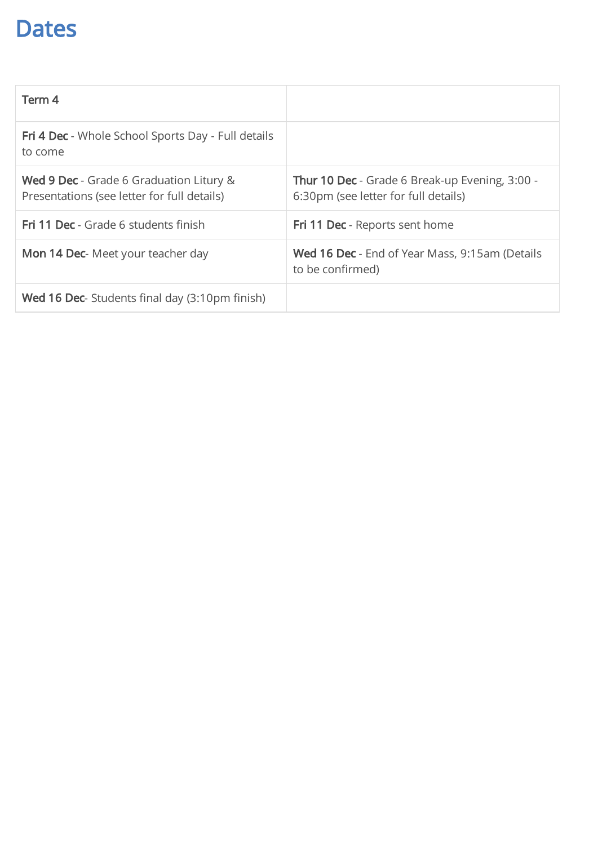#### Dates

| Term 4                                                                                        |                                                                                        |
|-----------------------------------------------------------------------------------------------|----------------------------------------------------------------------------------------|
| <b>Fri 4 Dec</b> - Whole School Sports Day - Full details<br>to come                          |                                                                                        |
| <b>Wed 9 Dec</b> - Grade 6 Graduation Litury &<br>Presentations (see letter for full details) | Thur 10 Dec - Grade 6 Break-up Evening, 3:00 -<br>6:30pm (see letter for full details) |
| Fri 11 Dec - Grade 6 students finish                                                          | <b>Fri 11 Dec</b> - Reports sent home                                                  |
| Mon 14 Dec- Meet your teacher day                                                             | <b>Wed 16 Dec</b> - End of Year Mass, 9:15am (Details<br>to be confirmed)              |
| <b>Wed 16 Dec-</b> Students final day (3:10pm finish)                                         |                                                                                        |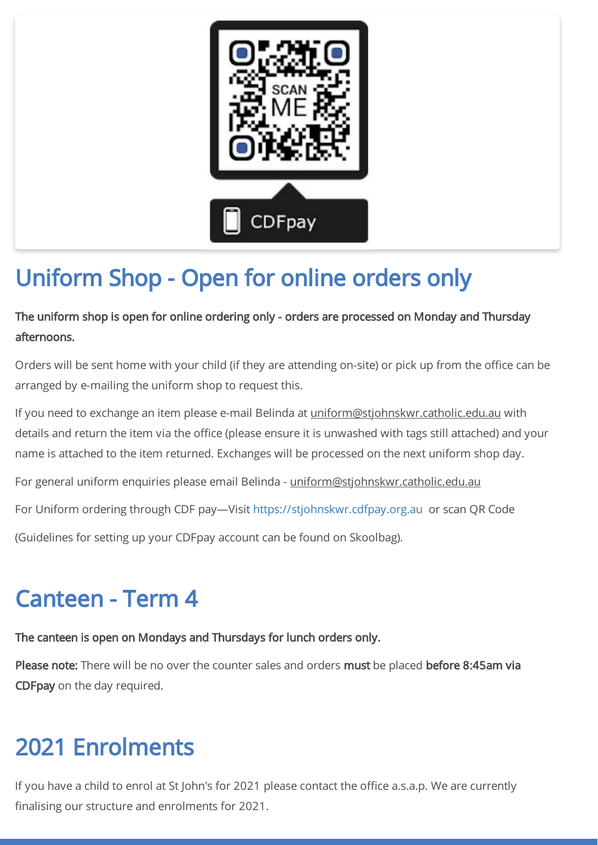

# Uniform Shop - Open for online orders only

The uniform shop is open for online ordering only - orders are processed on Monday and Thursday afternoons.

Orders will be sent home with your child (if they are attending on-site) or pick up from the office can be arranged by e-mailing the uniform shop to request this.

If you need to exchange an item please e-mail Belinda at uniform@stjohnskwr.catholic.edu.au with details and return the item via the office (please ensure it is unwashed with tags still attached) and your name is attached to the item returned. Exchanges will be processed on the next uniform shop day.

For general uniform enquiries please email Belinda - uniform@stjohnskwr.catholic.edu.au

For Uniform ordering through CDF pay—Visit [https://stjohnskwr.cdfpay.org.au](https://stjohnskwr.cdfpay.org.au/) or scan QR Code

(Guidelines for setting up your CDFpay account can be found on Skoolbag).

## Canteen - Term 4

The canteen is open on Mondays and Thursdays for lunch orders only.

Please note: There will be no over the counter sales and orders must be placed before 8:45am via CDFpay on the day required.

## 2021 Enrolments

If you have a child to enrol at St John's for 2021 please contact the office a.s.a.p. We are currently finalising our structure and enrolments for 2021.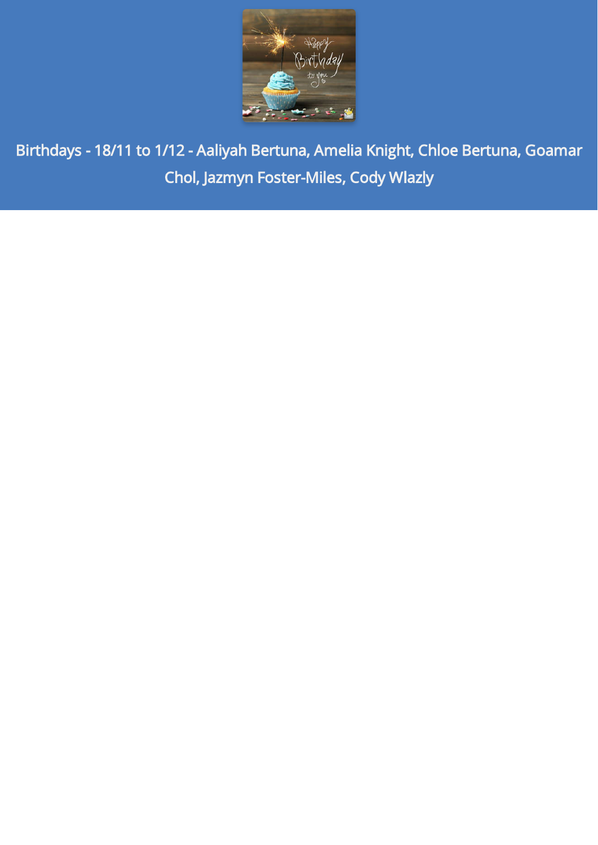

Birthdays - 18/11 to 1/12 - Aaliyah Bertuna, Amelia Knight, Chloe Bertuna, Goamar Chol, Jazmyn Foster-Miles, Cody Wlazly